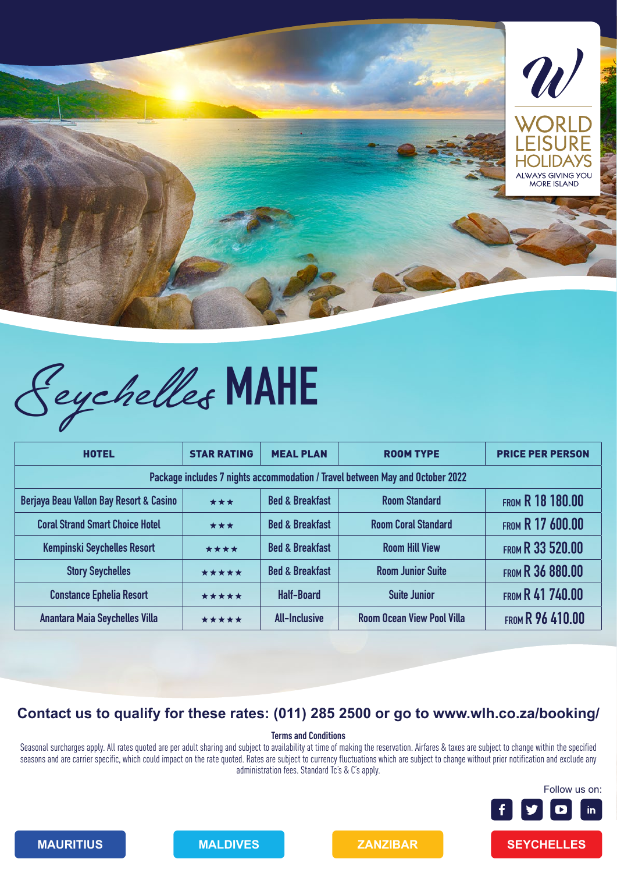

# Seychelles **MAHE**

| <b>HOTEL</b>                                                                  | <b>STAR RATING</b> | <b>MEAL PLAN</b>           | <b>ROOM TYPE</b>                  | <b>PRICE PER PERSON</b> |  |  |
|-------------------------------------------------------------------------------|--------------------|----------------------------|-----------------------------------|-------------------------|--|--|
| Package includes 7 nights accommodation / Travel between May and October 2022 |                    |                            |                                   |                         |  |  |
| Berjaya Beau Vallon Bay Resort & Casino                                       | ***                | <b>Bed &amp; Breakfast</b> | <b>Room Standard</b>              | <b>FROM R 18 180.00</b> |  |  |
| <b>Coral Strand Smart Choice Hotel</b>                                        | ***                | <b>Bed &amp; Breakfast</b> | <b>Room Coral Standard</b>        | <b>FROM R 17 600.00</b> |  |  |
| <b>Kempinski Seychelles Resort</b>                                            | ****               | <b>Bed &amp; Breakfast</b> | <b>Room Hill View</b>             | <b>FROM R 33 520.00</b> |  |  |
| <b>Story Seychelles</b>                                                       | *****              | <b>Bed &amp; Breakfast</b> | <b>Room Junior Suite</b>          | FROM R 36 880.00        |  |  |
| <b>Constance Ephelia Resort</b>                                               | *****              | <b>Half-Board</b>          | <b>Suite Junior</b>               | <b>FROM R 41 740.00</b> |  |  |
| <b>Anantara Maia Seychelles Villa</b>                                         | *****              | <b>All-Inclusive</b>       | <b>Room Ocean View Pool Villa</b> | <b>FROM R 96 410.00</b> |  |  |

## **Contact us to qualify for these rates: (011) 285 2500 or go to www.wlh.co.za/booking/**

### **Terms and Conditions**

Seasonal surcharges apply. All rates quoted are per adult sharing and subject to availability at time of making the reservation. Airfares & taxes are subject to change within the specified seasons and are carrier specific, which could impact on the rate quoted. Rates are subject to currency fluctuations which are subject to change without prior notification and exclude any administration fees. Standard Tc's & C's apply.